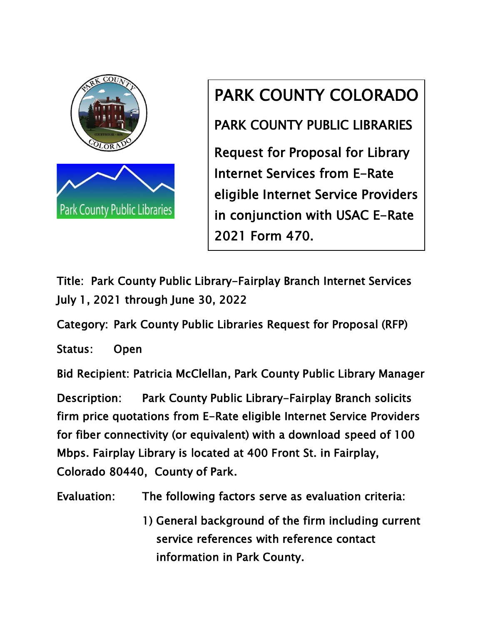

## PARK COUNTY COLORADO

PARK COUNTY PUBLIC LIBRARIES

Request for Proposal for Library Internet Services from E-Rate eligible Internet Service Providers in conjunction with USAC E-Rate 2021 Form 470.

Title: Park County Public Library-Fairplay Branch Internet Services July 1, 2021 through June 30, 2022

Category: Park County Public Libraries Request for Proposal (RFP)

Status: Open

Bid Recipient: Patricia McClellan, Park County Public Library Manager

Description: Park County Public Library-Fairplay Branch solicits firm price quotations from E-Rate eligible Internet Service Providers for fiber connectivity (or equivalent) with a download speed of 100 Mbps. Fairplay Library is located at 400 Front St. in Fairplay, Colorado 80440, County of Park.

Evaluation: The following factors serve as evaluation criteria:

1) General background of the firm including current service references with reference contact information in Park County.